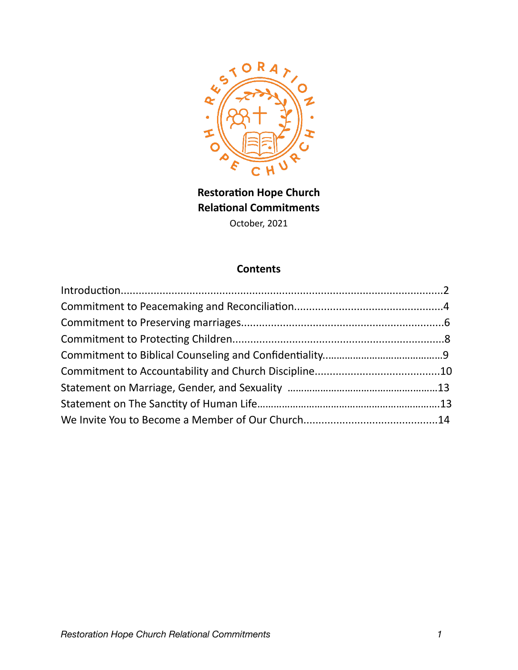

**Restoration Hope Church Relational Commitments**  October, 2021

# **Contents**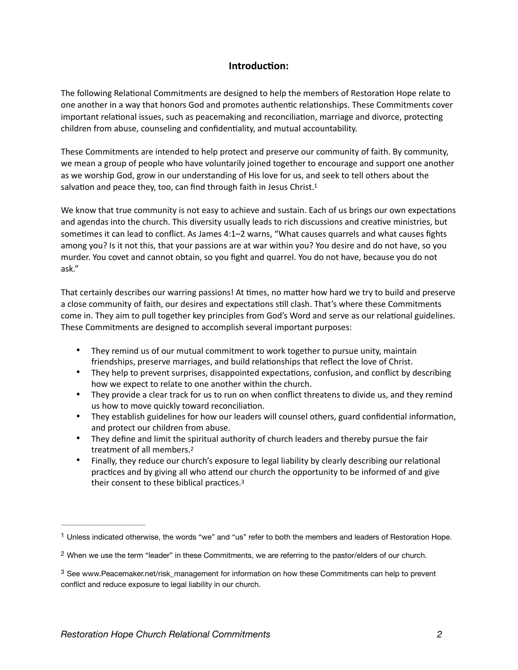#### <span id="page-1-3"></span>**Introduction:**

The following Relational Commitments are designed to help the members of Restoration Hope relate to one another in a way that honors God and promotes authentic relationships. These Commitments cover important relational issues, such as peacemaking and reconciliation, marriage and divorce, protecting children from abuse, counseling and confidentiality, and mutual accountability.

These Commitments are intended to help protect and preserve our community of faith. By community, we mean a group of people who have voluntarily joined together to encourage and support one another as we worship God, grow in our understanding of His love for us, and seek to tell others about the salvation and peace they, too, can find through faith in Jesus Christ.<sup>[1](#page-1-0)</sup>

We know that true community is not easy to achieve and sustain. Each of us brings our own expectations and agendas into the church. This diversity usually leads to rich discussions and creative ministries, but sometimes it can lead to conflict. As James 4:1–2 warns, "What causes quarrels and what causes fights among you? Is it not this, that your passions are at war within you? You desire and do not have, so you murder. You covet and cannot obtain, so you fight and quarrel. You do not have, because you do not ask."

That certainly describes our warring passions! At times, no matter how hard we try to build and preserve a close community of faith, our desires and expectations still clash. That's where these Commitments come in. They aim to pull together key principles from God's Word and serve as our relational guidelines. These Commitments are designed to accomplish several important purposes:

- They remind us of our mutual commitment to work together to pursue unity, maintain friendships, preserve marriages, and build relationships that reflect the love of Christ.
- They help to prevent surprises, disappointed expectations, confusion, and conflict by describing how we expect to relate to one another within the church.
- They provide a clear track for us to run on when conflict threatens to divide us, and they remind us how to move quickly toward reconciliation.
- They establish guidelines for how our leaders will counsel others, guard confidential information, and protect our children from abuse.
- They define and limit the spiritual authority of church leaders and thereby pursue the fair treatment of all members[.2](#page-1-1)
- <span id="page-1-5"></span><span id="page-1-4"></span>• Finally, they reduce our church's exposure to legal liability by clearly describing our relational practices and by giving all who attend our church the opportunity to be informed of and give their consent to these biblical practices[.3](#page-1-2)

<span id="page-1-0"></span> $1$  Unless indicated otherwise, the words "we" and "us" refer to both the members and leaders of Restoration Hope.

<span id="page-1-1"></span>When we use the term "leader" in these Commitments, we are referring to the pastor/elders of our church. [2](#page-1-4)

<span id="page-1-2"></span> $3$  See www.Peacemaker.net/risk\_management for information on how these Commitments can help to prevent conflict and reduce exposure to legal liability in our church.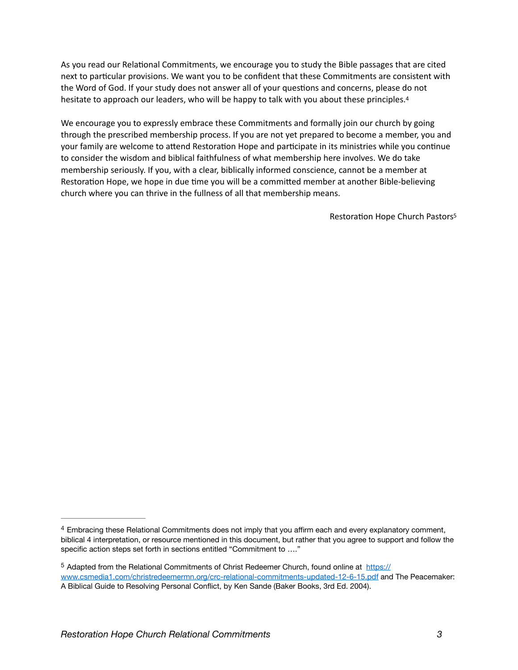As you read our Relational Commitments, we encourage you to study the Bible passages that are cited next to particular provisions. We want you to be confident that these Commitments are consistent with the Word of God. If your study does not answer all of your questions and concerns, please do not hesitate to approach our leaders, who will be happy to talk with you about these principles.<sup>[4](#page-2-0)</sup>

We encourage you to expressly embrace these Commitments and formally join our church by going through the prescribed membership process. If you are not yet prepared to become a member, you and your family are welcome to attend Restoration Hope and participate in its ministries while you continue to consider the wisdom and biblical faithfulness of what membership here involves. We do take membership seriously. If you, with a clear, biblically informed conscience, cannot be a member at Restoration Hope, we hope in due time you will be a committed member at another Bible-believing church where you can thrive in the fullness of all that membership means.

<span id="page-2-3"></span><span id="page-2-2"></span>Restoration Hope Church Pastor[s5](#page-2-1)

<span id="page-2-0"></span>Embracing these Relational Commitments does not imply that you affirm each and every explanatory comment, [4](#page-2-2) biblical 4 interpretation, or resource mentioned in this document, but rather that you agree to support and follow the specific action steps set forth in sections entitled "Commitment to …."

<span id="page-2-1"></span><sup>&</sup>lt;sup>5</sup> Adapted from the Relational Commitments of Christ Redeemer Church, found online at [https://](https://www.csmedia1.com/christredeemermn.org/crc-relational-commitments-updated-12-6-15.pdf) [www.csmedia1.com/christredeemermn.org/crc-relational-commitments-updated-12-6-15.pdf and](https://www.csmedia1.com/christredeemermn.org/crc-relational-commitments-updated-12-6-15.pdf) The Peacemaker: A Biblical Guide to Resolving Personal Conflict, by Ken Sande (Baker Books, 3rd Ed. 2004).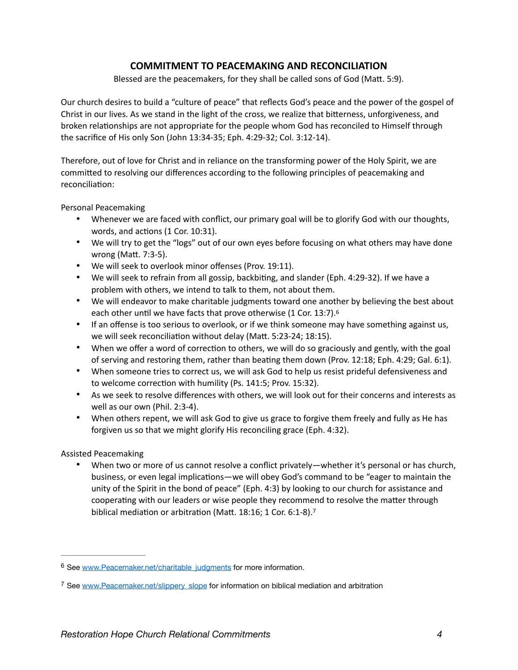### **COMMITMENT TO PEACEMAKING AND RECONCILIATION**

Blessed are the peacemakers, for they shall be called sons of God (Matt. 5:9).

Our church desires to build a "culture of peace" that reflects God's peace and the power of the gospel of Christ in our lives. As we stand in the light of the cross, we realize that bitterness, unforgiveness, and broken relationships are not appropriate for the people whom God has reconciled to Himself through the sacrifice of His only Son (John 13:34-35; Eph. 4:29-32; Col. 3:12-14).

Therefore, out of love for Christ and in reliance on the transforming power of the Holy Spirit, we are committed to resolving our differences according to the following principles of peacemaking and reconciliation:

Personal Peacemaking

- Whenever we are faced with conflict, our primary goal will be to glorify God with our thoughts, words, and actions (1 Cor. 10:31).
- We will try to get the "logs" out of our own eyes before focusing on what others may have done wrong (Matt. 7:3-5).
- We will seek to overlook minor offenses (Prov. 19:11).
- We will seek to refrain from all gossip, backbiting, and slander (Eph. 4:29-32). If we have a problem with others, we intend to talk to them, not about them.
- We will endeavor to make charitable judgments toward one another by believing the best about each other until we have facts that prove otherwise (1 Cor. 13:7)[.6](#page-3-0)
- <span id="page-3-2"></span>• If an offense is too serious to overlook, or if we think someone may have something against us, we will seek reconciliation without delay (Matt. 5:23-24; 18:15).
- When we offer a word of correction to others, we will do so graciously and gently, with the goal of serving and restoring them, rather than beating them down (Prov. 12:18; Eph. 4:29; Gal. 6:1).
- When someone tries to correct us, we will ask God to help us resist prideful defensiveness and to welcome correction with humility (Ps. 141:5; Prov. 15:32).
- As we seek to resolve differences with others, we will look out for their concerns and interests as well as our own (Phil. 2:3-4).
- When others repent, we will ask God to give us grace to forgive them freely and fully as He has forgiven us so that we might glorify His reconciling grace (Eph. 4:32).

Assisted Peacemaking

<span id="page-3-3"></span>• When two or more of us cannot resolve a conflict privately—whether it's personal or has church, business, or even legal implications—we will obey God's command to be "eager to maintain the unity of the Spirit in the bond of peace" (Eph. 4:3) by looking to our church for assistance and cooperating with our leaders or wise people they recommend to resolve the matter through biblical mediation or arbitration (Matt. 18:16; 1 Cor. 6:1-8).<sup>[7](#page-3-1)</sup>

<span id="page-3-0"></span><sup>6</sup> See [www.Peacemaker.net/charitable\\_judgments](http://www.Peacemaker.net/charitable_judgments) for more information.

<span id="page-3-1"></span><sup>&</sup>lt;sup>7</sup> See [www.Peacemaker.net/slippery\\_slope](http://www.Peacemaker.net/slippery_slope) for information on biblical mediation and arbitration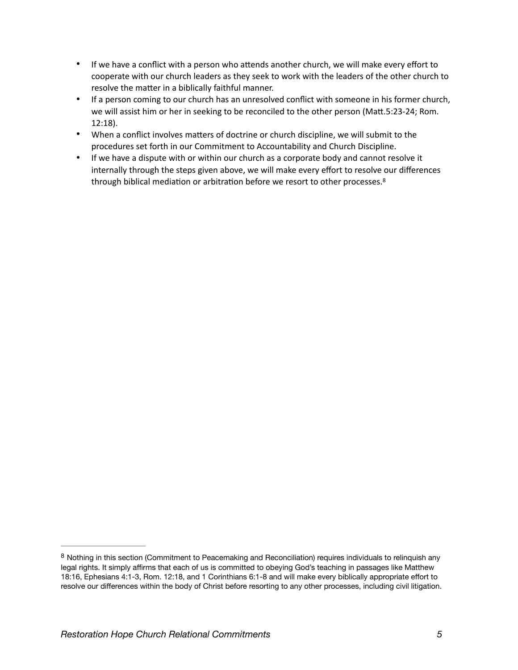- If we have a conflict with a person who attends another church, we will make every effort to cooperate with our church leaders as they seek to work with the leaders of the other church to resolve the matter in a biblically faithful manner.
- If a person coming to our church has an unresolved conflict with someone in his former church, we will assist him or her in seeking to be reconciled to the other person (Matt.5:23-24; Rom. 12:18).
- When a conflict involves matters of doctrine or church discipline, we will submit to the procedures set forth in our Commitment to Accountability and Church Discipline.
- <span id="page-4-1"></span>• If we have a dispute with or within our church as a corporate body and cannot resolve it internally through the steps given above, we will make every effort to resolve our differences through biblical mediation or arbitration before we resort to other processes[.8](#page-4-0)

<span id="page-4-0"></span>[<sup>8</sup>](#page-4-1) Nothing in this section (Commitment to Peacemaking and Reconciliation) requires individuals to relinquish any legal rights. It simply affirms that each of us is committed to obeying God's teaching in passages like Matthew 18:16, Ephesians 4:1-3, Rom. 12:18, and 1 Corinthians 6:1-8 and will make every biblically appropriate effort to resolve our differences within the body of Christ before resorting to any other processes, including civil litigation.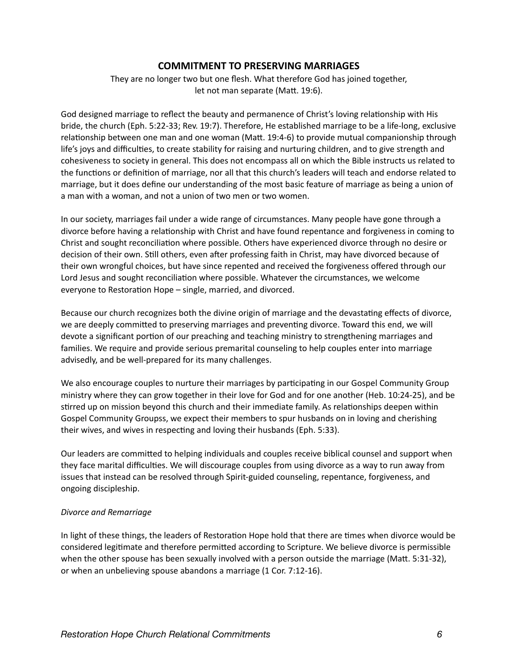#### **COMMITMENT TO PRESERVING MARRIAGES**

They are no longer two but one flesh. What therefore God has joined together, let not man separate (Matt. 19:6).

God designed marriage to reflect the beauty and permanence of Christ's loving relationship with His bride, the church (Eph. 5:22-33; Rev. 19:7). Therefore, He established marriage to be a life-long, exclusive relationship between one man and one woman (Matt. 19:4-6) to provide mutual companionship through life's joys and difficulties, to create stability for raising and nurturing children, and to give strength and cohesiveness to society in general. This does not encompass all on which the Bible instructs us related to the functions or definition of marriage, nor all that this church's leaders will teach and endorse related to marriage, but it does define our understanding of the most basic feature of marriage as being a union of a man with a woman, and not a union of two men or two women.

In our society, marriages fail under a wide range of circumstances. Many people have gone through a divorce before having a relationship with Christ and have found repentance and forgiveness in coming to Christ and sought reconciliation where possible. Others have experienced divorce through no desire or decision of their own. Still others, even after professing faith in Christ, may have divorced because of their own wrongful choices, but have since repented and received the forgiveness offered through our Lord Jesus and sought reconciliation where possible. Whatever the circumstances, we welcome everyone to Restoration Hope – single, married, and divorced.

Because our church recognizes both the divine origin of marriage and the devastating effects of divorce, we are deeply committed to preserving marriages and preventing divorce. Toward this end, we will devote a significant portion of our preaching and teaching ministry to strengthening marriages and families. We require and provide serious premarital counseling to help couples enter into marriage advisedly, and be well-prepared for its many challenges.

We also encourage couples to nurture their marriages by participating in our Gospel Community Group ministry where they can grow together in their love for God and for one another (Heb. 10:24-25), and be stirred up on mission beyond this church and their immediate family. As relationships deepen within Gospel Community Groupss, we expect their members to spur husbands on in loving and cherishing their wives, and wives in respecting and loving their husbands (Eph. 5:33).

Our leaders are committed to helping individuals and couples receive biblical counsel and support when they face marital difficulties. We will discourage couples from using divorce as a way to run away from issues that instead can be resolved through Spirit-guided counseling, repentance, forgiveness, and ongoing discipleship.

#### *Divorce and Remarriage*

In light of these things, the leaders of Restoration Hope hold that there are times when divorce would be considered legitimate and therefore permitted according to Scripture. We believe divorce is permissible when the other spouse has been sexually involved with a person outside the marriage (Matt. 5:31-32), or when an unbelieving spouse abandons a marriage (1 Cor. 7:12-16).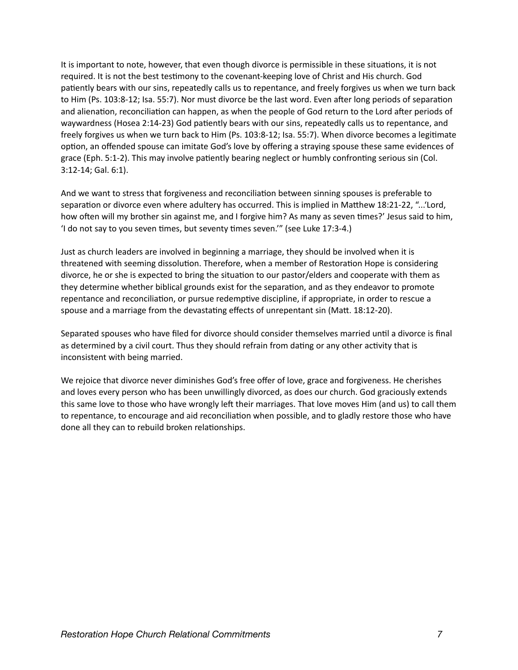It is important to note, however, that even though divorce is permissible in these situations, it is not required. It is not the best testimony to the covenant-keeping love of Christ and His church. God patiently bears with our sins, repeatedly calls us to repentance, and freely forgives us when we turn back to Him (Ps. 103:8-12; Isa. 55:7). Nor must divorce be the last word. Even after long periods of separation and alienation, reconciliation can happen, as when the people of God return to the Lord after periods of waywardness (Hosea 2:14-23) God patiently bears with our sins, repeatedly calls us to repentance, and freely forgives us when we turn back to Him (Ps. 103:8-12; Isa. 55:7). When divorce becomes a legitimate option, an offended spouse can imitate God's love by offering a straying spouse these same evidences of grace (Eph. 5:1-2). This may involve patiently bearing neglect or humbly confronting serious sin (Col. 3:12-14; Gal. 6:1).

And we want to stress that forgiveness and reconciliation between sinning spouses is preferable to separation or divorce even where adultery has occurred. This is implied in Matthew 18:21-22, "...'Lord, how often will my brother sin against me, and I forgive him? As many as seven times?' Jesus said to him, 'I do not say to you seven times, but seventy times seven.'" (see Luke 17:3-4.)

Just as church leaders are involved in beginning a marriage, they should be involved when it is threatened with seeming dissolution. Therefore, when a member of Restoration Hope is considering divorce, he or she is expected to bring the situation to our pastor/elders and cooperate with them as they determine whether biblical grounds exist for the separation, and as they endeavor to promote repentance and reconciliation, or pursue redemptive discipline, if appropriate, in order to rescue a spouse and a marriage from the devastating effects of unrepentant sin (Matt. 18:12-20).

Separated spouses who have filed for divorce should consider themselves married until a divorce is final as determined by a civil court. Thus they should refrain from dating or any other activity that is inconsistent with being married.

We rejoice that divorce never diminishes God's free offer of love, grace and forgiveness. He cherishes and loves every person who has been unwillingly divorced, as does our church. God graciously extends this same love to those who have wrongly left their marriages. That love moves Him (and us) to call them to repentance, to encourage and aid reconciliation when possible, and to gladly restore those who have done all they can to rebuild broken relationships.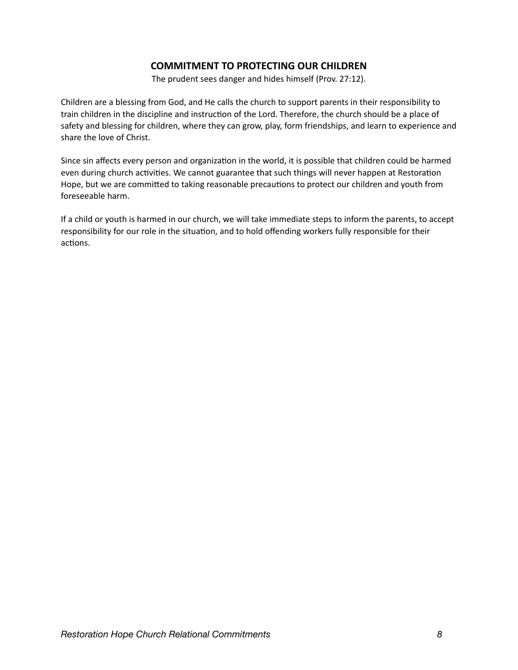# **COMMITMENT TO PROTECTING OUR CHILDREN**

The prudent sees danger and hides himself (Prov. 27:12).

Children are a blessing from God, and He calls the church to support parents in their responsibility to train children in the discipline and instruction of the Lord. Therefore, the church should be a place of safety and blessing for children, where they can grow, play, form friendships, and learn to experience and share the love of Christ.

Since sin affects every person and organization in the world, it is possible that children could be harmed even during church activities. We cannot guarantee that such things will never happen at Restoration Hope, but we are committed to taking reasonable precautions to protect our children and youth from foreseeable harm.

If a child or youth is harmed in our church, we will take immediate steps to inform the parents, to accept responsibility for our role in the situation, and to hold offending workers fully responsible for their actions.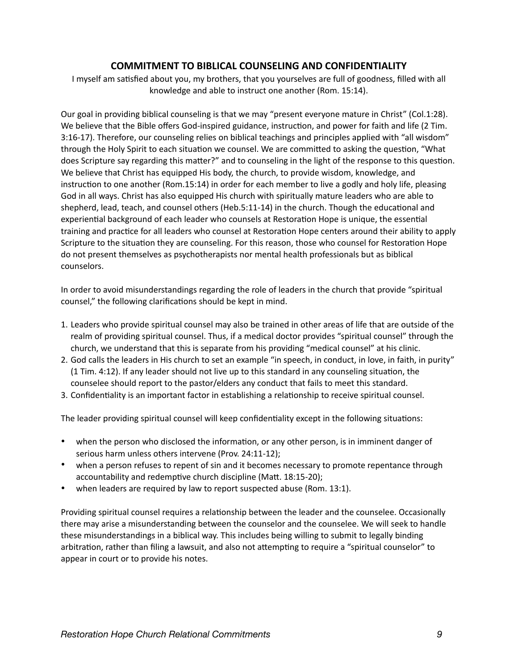### **COMMITMENT TO BIBLICAL COUNSELING AND CONFIDENTIALITY**

I myself am satisfied about you, my brothers, that you yourselves are full of goodness, filled with all knowledge and able to instruct one another (Rom. 15:14).

Our goal in providing biblical counseling is that we may "present everyone mature in Christ" (Col.1:28). We believe that the Bible offers God-inspired guidance, instruction, and power for faith and life (2 Tim. 3:16-17). Therefore, our counseling relies on biblical teachings and principles applied with "all wisdom" through the Holy Spirit to each situation we counsel. We are committed to asking the question, "What does Scripture say regarding this matter?" and to counseling in the light of the response to this question. We believe that Christ has equipped His body, the church, to provide wisdom, knowledge, and instruction to one another (Rom.15:14) in order for each member to live a godly and holy life, pleasing God in all ways. Christ has also equipped His church with spiritually mature leaders who are able to shepherd, lead, teach, and counsel others (Heb.5:11-14) in the church. Though the educational and experiential background of each leader who counsels at Restoration Hope is unique, the essential training and practice for all leaders who counsel at Restoration Hope centers around their ability to apply Scripture to the situation they are counseling. For this reason, those who counsel for Restoration Hope do not present themselves as psychotherapists nor mental health professionals but as biblical counselors.

In order to avoid misunderstandings regarding the role of leaders in the church that provide "spiritual counsel," the following clarifications should be kept in mind.

- 1. Leaders who provide spiritual counsel may also be trained in other areas of life that are outside of the realm of providing spiritual counsel. Thus, if a medical doctor provides "spiritual counsel" through the church, we understand that this is separate from his providing "medical counsel" at his clinic.
- 2. God calls the leaders in His church to set an example "in speech, in conduct, in love, in faith, in purity" (1 Tim. 4:12). If any leader should not live up to this standard in any counseling situation, the counselee should report to the pastor/elders any conduct that fails to meet this standard.
- 3. Confidentiality is an important factor in establishing a relationship to receive spiritual counsel.

The leader providing spiritual counsel will keep confidentiality except in the following situations:

- when the person who disclosed the information, or any other person, is in imminent danger of serious harm unless others intervene (Prov. 24:11-12);
- when a person refuses to repent of sin and it becomes necessary to promote repentance through accountability and redemptive church discipline (Matt. 18:15-20);
- when leaders are required by law to report suspected abuse (Rom. 13:1).

Providing spiritual counsel requires a relationship between the leader and the counselee. Occasionally there may arise a misunderstanding between the counselor and the counselee. We will seek to handle these misunderstandings in a biblical way. This includes being willing to submit to legally binding arbitration, rather than filing a lawsuit, and also not attempting to require a "spiritual counselor" to appear in court or to provide his notes.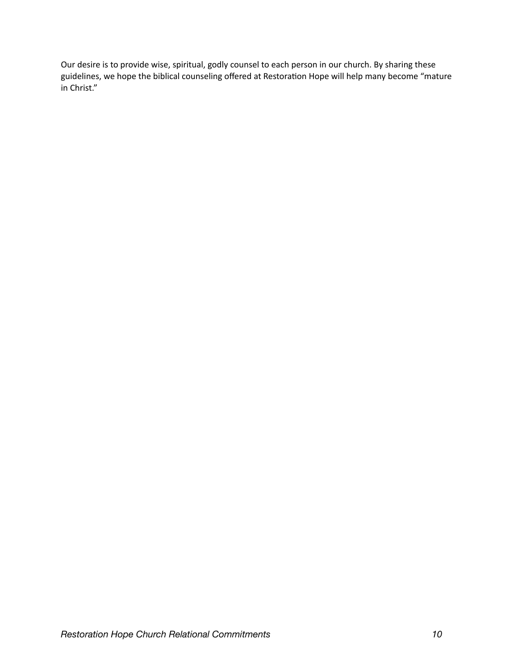Our desire is to provide wise, spiritual, godly counsel to each person in our church. By sharing these guidelines, we hope the biblical counseling offered at Restoration Hope will help many become "mature in Christ."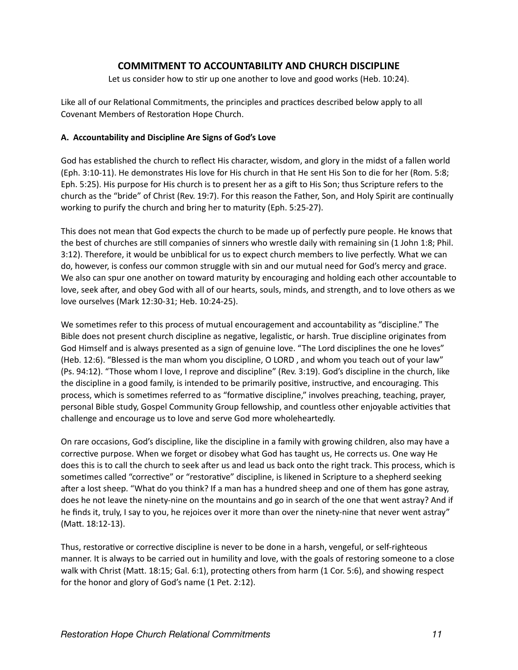### **COMMITMENT TO ACCOUNTABILITY AND CHURCH DISCIPLINE**

Let us consider how to stir up one another to love and good works (Heb. 10:24).

Like all of our Relational Commitments, the principles and practices described below apply to all Covenant Members of Restoration Hope Church.

#### **A. Accountability and Discipline Are Signs of God's Love**

God has established the church to reflect His character, wisdom, and glory in the midst of a fallen world (Eph. 3:10-11). He demonstrates His love for His church in that He sent His Son to die for her (Rom. 5:8; Eph. 5:25). His purpose for His church is to present her as a gift to His Son; thus Scripture refers to the church as the "bride" of Christ (Rev. 19:7). For this reason the Father, Son, and Holy Spirit are continually working to purify the church and bring her to maturity (Eph. 5:25-27).

This does not mean that God expects the church to be made up of perfectly pure people. He knows that the best of churches are still companies of sinners who wrestle daily with remaining sin (1 John 1:8; Phil. 3:12). Therefore, it would be unbiblical for us to expect church members to live perfectly. What we can do, however, is confess our common struggle with sin and our mutual need for God's mercy and grace. We also can spur one another on toward maturity by encouraging and holding each other accountable to love, seek after, and obey God with all of our hearts, souls, minds, and strength, and to love others as we love ourselves (Mark 12:30-31; Heb. 10:24-25).

We sometimes refer to this process of mutual encouragement and accountability as "discipline." The Bible does not present church discipline as negative, legalistic, or harsh. True discipline originates from God Himself and is always presented as a sign of genuine love. "The Lord disciplines the one he loves" (Heb. 12:6). "Blessed is the man whom you discipline, O LORD , and whom you teach out of your law" (Ps. 94:12). "Those whom I love, I reprove and discipline" (Rev. 3:19). God's discipline in the church, like the discipline in a good family, is intended to be primarily positive, instructive, and encouraging. This process, which is sometimes referred to as "formative discipline," involves preaching, teaching, prayer, personal Bible study, Gospel Community Group fellowship, and countless other enjoyable activities that challenge and encourage us to love and serve God more wholeheartedly.

On rare occasions, God's discipline, like the discipline in a family with growing children, also may have a corrective purpose. When we forget or disobey what God has taught us, He corrects us. One way He does this is to call the church to seek after us and lead us back onto the right track. This process, which is sometimes called "corrective" or "restorative" discipline, is likened in Scripture to a shepherd seeking after a lost sheep. "What do you think? If a man has a hundred sheep and one of them has gone astray, does he not leave the ninety-nine on the mountains and go in search of the one that went astray? And if he finds it, truly, I say to you, he rejoices over it more than over the ninety-nine that never went astray" (Matt. 18:12-13).

Thus, restorative or corrective discipline is never to be done in a harsh, vengeful, or self-righteous manner. It is always to be carried out in humility and love, with the goals of restoring someone to a close walk with Christ (Matt. 18:15; Gal. 6:1), protecting others from harm (1 Cor. 5:6), and showing respect for the honor and glory of God's name (1 Pet. 2:12).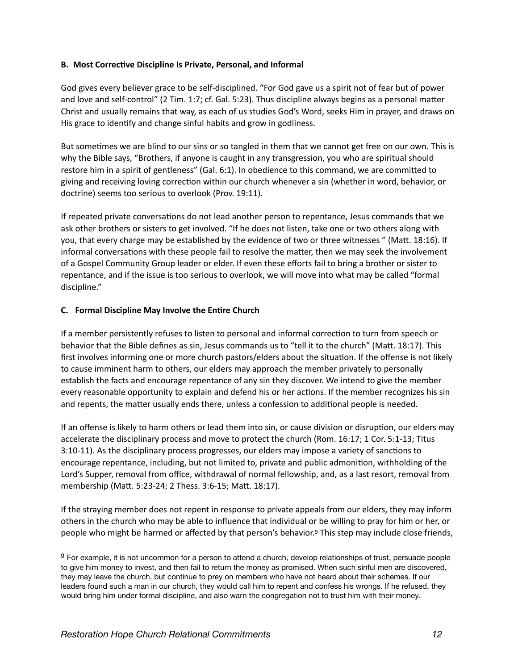#### **B. Most Corrective Discipline Is Private, Personal, and Informal**

God gives every believer grace to be self-disciplined. "For God gave us a spirit not of fear but of power and love and self-control" (2 Tim. 1:7; cf. Gal. 5:23). Thus discipline always begins as a personal matter Christ and usually remains that way, as each of us studies God's Word, seeks Him in prayer, and draws on His grace to identify and change sinful habits and grow in godliness.

But sometimes we are blind to our sins or so tangled in them that we cannot get free on our own. This is why the Bible says, "Brothers, if anyone is caught in any transgression, you who are spiritual should restore him in a spirit of gentleness" (Gal. 6:1). In obedience to this command, we are committed to giving and receiving loving correction within our church whenever a sin (whether in word, behavior, or doctrine) seems too serious to overlook (Prov. 19:11).

If repeated private conversations do not lead another person to repentance, Jesus commands that we ask other brothers or sisters to get involved. "If he does not listen, take one or two others along with you, that every charge may be established by the evidence of two or three witnesses " (Matt. 18:16). If informal conversations with these people fail to resolve the matter, then we may seek the involvement of a Gospel Community Group leader or elder. If even these efforts fail to bring a brother or sister to repentance, and if the issue is too serious to overlook, we will move into what may be called "formal discipline."

#### **C. Formal Discipline May Involve the Entire Church**

If a member persistently refuses to listen to personal and informal correction to turn from speech or behavior that the Bible defines as sin, Jesus commands us to "tell it to the church" (Matt. 18:17). This first involves informing one or more church pastors/elders about the situation. If the offense is not likely to cause imminent harm to others, our elders may approach the member privately to personally establish the facts and encourage repentance of any sin they discover. We intend to give the member every reasonable opportunity to explain and defend his or her actions. If the member recognizes his sin and repents, the matter usually ends there, unless a confession to additional people is needed.

If an offense is likely to harm others or lead them into sin, or cause division or disruption, our elders may accelerate the disciplinary process and move to protect the church (Rom. 16:17; 1 Cor. 5:1-13; Titus 3:10-11). As the disciplinary process progresses, our elders may impose a variety of sanctions to encourage repentance, including, but not limited to, private and public admonition, withholding of the Lord's Supper, removal from office, withdrawal of normal fellowship, and, as a last resort, removal from membership (Matt. 5:23-24; 2 Thess. 3:6-15; Matt. 18:17).

<span id="page-11-1"></span>If the straying member does not repent in response to private appeals from our elders, they may inform others in the church who may be able to influence that individual or be willing to pray for him or her, or people who might be harmed or affected by that person's behavior.<sup>[9](#page-11-0)</sup> This step may include close friends,

<span id="page-11-0"></span><sup>&</sup>lt;sup>[9](#page-11-1)</sup> For example, it is not uncommon for a person to attend a church, develop relationships of trust, persuade people to give him money to invest, and then fail to return the money as promised. When such sinful men are discovered, they may leave the church, but continue to prey on members who have not heard about their schemes. If our leaders found such a man in our church, they would call him to repent and confess his wrongs. If he refused, they would bring him under formal discipline, and also warn the congregation not to trust him with their money.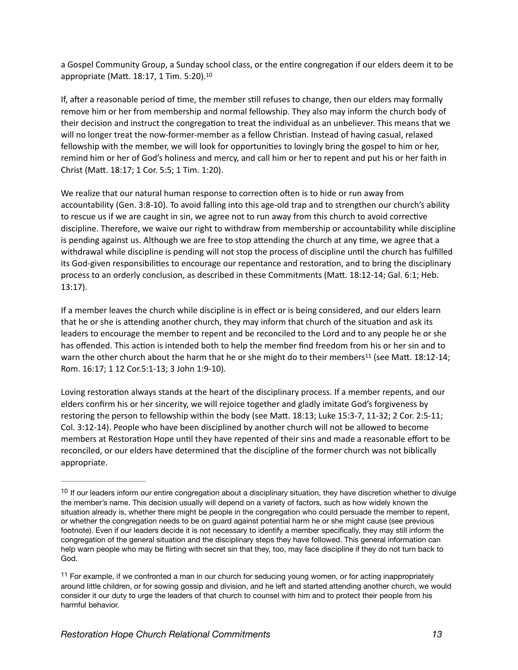<span id="page-12-2"></span>a Gospel Community Group, a Sunday school class, or the entire congregation if our elders deem it to be appropriate (Matt. 18:17, 1 Tim. 5:20).[10](#page-12-0)

If, after a reasonable period of time, the member still refuses to change, then our elders may formally remove him or her from membership and normal fellowship. They also may inform the church body of their decision and instruct the congregation to treat the individual as an unbeliever. This means that we will no longer treat the now-former-member as a fellow Christian. Instead of having casual, relaxed fellowship with the member, we will look for opportunities to lovingly bring the gospel to him or her, remind him or her of God's holiness and mercy, and call him or her to repent and put his or her faith in Christ (Matt. 18:17; 1 Cor. 5:5; 1 Tim. 1:20).

We realize that our natural human response to correction often is to hide or run away from accountability (Gen. 3:8-10). To avoid falling into this age-old trap and to strengthen our church's ability to rescue us if we are caught in sin, we agree not to run away from this church to avoid corrective discipline. Therefore, we waive our right to withdraw from membership or accountability while discipline is pending against us. Although we are free to stop attending the church at any time, we agree that a withdrawal while discipline is pending will not stop the process of discipline until the church has fulfilled its God-given responsibilities to encourage our repentance and restoration, and to bring the disciplinary process to an orderly conclusion, as described in these Commitments (Matt. 18:12-14; Gal. 6:1; Heb. 13:17).

If a member leaves the church while discipline is in effect or is being considered, and our elders learn that he or she is attending another church, they may inform that church of the situation and ask its leaders to encourage the member to repent and be reconciled to the Lord and to any people he or she has offended. This action is intended both to help the member find freedom from his or her sin and to warn the other church about the harm that he or she might do to their members<sup>[11](#page-12-1)</sup> (see Matt. 18:12-14; Rom. 16:17; 1 12 Cor.5:1-13; 3 John 1:9-10).

<span id="page-12-3"></span>Loving restoration always stands at the heart of the disciplinary process. If a member repents, and our elders confirm his or her sincerity, we will rejoice together and gladly imitate God's forgiveness by restoring the person to fellowship within the body (see Matt. 18:13; Luke 15:3-7, 11-32; 2 Cor. 2:5-11; Col. 3:12-14). People who have been disciplined by another church will not be allowed to become members at Restoration Hope until they have repented of their sins and made a reasonable effort to be reconciled, or our elders have determined that the discipline of the former church was not biblically appropriate.

<span id="page-12-0"></span> $10$  If our leaders inform our entire congregation about a disciplinary situation, they have discretion whether to divulge the member's name. This decision usually will depend on a variety of factors, such as how widely known the situation already is, whether there might be people in the congregation who could persuade the member to repent, or whether the congregation needs to be on guard against potential harm he or she might cause (see previous footnote). Even if our leaders decide it is not necessary to identify a member specifically, they may still inform the congregation of the general situation and the disciplinary steps they have followed. This general information can help warn people who may be flirting with secret sin that they, too, may face discipline if they do not turn back to God.

<span id="page-12-1"></span> $11$  For example, if we confronted a man in our church for seducing young women, or for acting inappropriately around little children, or for sowing gossip and division, and he left and started attending another church, we would consider it our duty to urge the leaders of that church to counsel with him and to protect their people from his harmful behavior.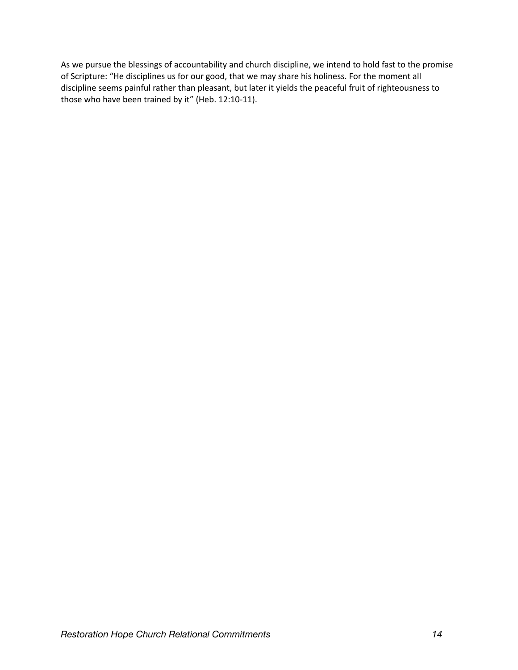As we pursue the blessings of accountability and church discipline, we intend to hold fast to the promise of Scripture: "He disciplines us for our good, that we may share his holiness. For the moment all discipline seems painful rather than pleasant, but later it yields the peaceful fruit of righteousness to those who have been trained by it" (Heb. 12:10-11).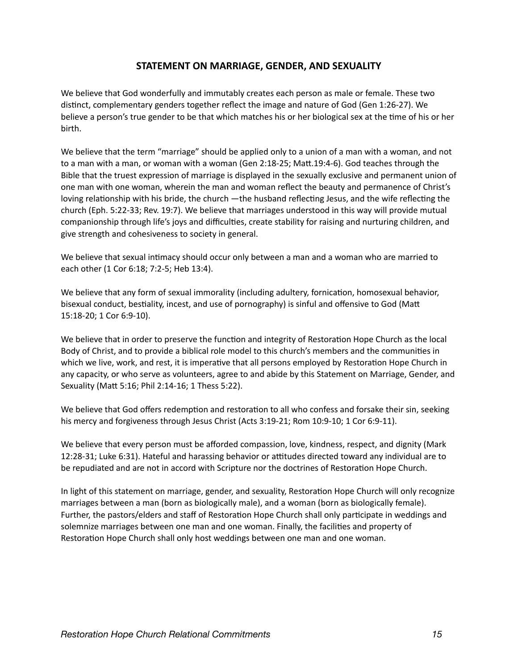### **STATEMENT ON MARRIAGE, GENDER, AND SEXUALITY**

We believe that God wonderfully and immutably creates each person as male or female. These two distinct, complementary genders together reflect the image and nature of God (Gen 1:26-27). We believe a person's true gender to be that which matches his or her biological sex at the time of his or her birth.

We believe that the term "marriage" should be applied only to a union of a man with a woman, and not to a man with a man, or woman with a woman (Gen 2:18-25; Matt.19:4-6). God teaches through the Bible that the truest expression of marriage is displayed in the sexually exclusive and permanent union of one man with one woman, wherein the man and woman reflect the beauty and permanence of Christ's loving relationship with his bride, the church —the husband reflecting Jesus, and the wife reflecting the church (Eph. 5:22-33; Rev. 19:7). We believe that marriages understood in this way will provide mutual companionship through life's joys and difficulties, create stability for raising and nurturing children, and give strength and cohesiveness to society in general.

We believe that sexual intimacy should occur only between a man and a woman who are married to each other (1 Cor 6:18; 7:2-5; Heb 13:4).

We believe that any form of sexual immorality (including adultery, fornication, homosexual behavior, bisexual conduct, bestiality, incest, and use of pornography) is sinful and offensive to God (Matt 15:18-20; 1 Cor 6:9-10).

We believe that in order to preserve the function and integrity of Restoration Hope Church as the local Body of Christ, and to provide a biblical role model to this church's members and the communities in which we live, work, and rest, it is imperative that all persons employed by Restoration Hope Church in any capacity, or who serve as volunteers, agree to and abide by this Statement on Marriage, Gender, and Sexuality (Matt 5:16; Phil 2:14-16; 1 Thess 5:22).

We believe that God offers redemption and restoration to all who confess and forsake their sin, seeking his mercy and forgiveness through Jesus Christ (Acts 3:19-21; Rom 10:9-10; 1 Cor 6:9-11).

We believe that every person must be afforded compassion, love, kindness, respect, and dignity (Mark 12:28-31; Luke 6:31). Hateful and harassing behavior or attitudes directed toward any individual are to be repudiated and are not in accord with Scripture nor the doctrines of Restoration Hope Church.

In light of this statement on marriage, gender, and sexuality, Restoration Hope Church will only recognize marriages between a man (born as biologically male), and a woman (born as biologically female). Further, the pastors/elders and staff of Restoration Hope Church shall only participate in weddings and solemnize marriages between one man and one woman. Finally, the facilities and property of Restoration Hope Church shall only host weddings between one man and one woman.